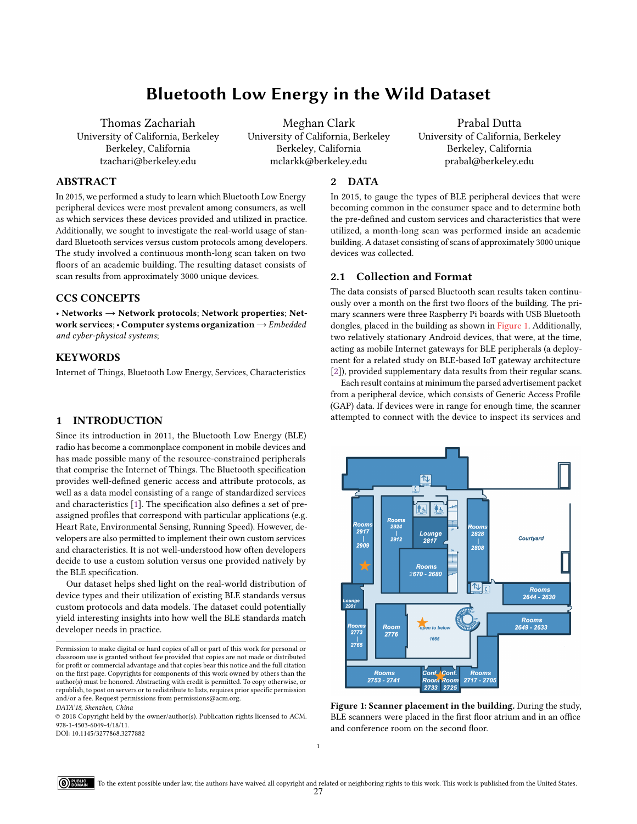# Bluetooth Low Energy in the Wild Dataset

Thomas Zachariah University of California, Berkeley Berkeley, California tzachari@berkeley.edu

Meghan Clark University of California, Berkeley Berkeley, California mclarkk@berkeley.edu

Prabal Dutta University of California, Berkeley Berkeley, California prabal@berkeley.edu

### ABSTRACT

In 2015, we performed a study to learn which Bluetooth Low Energy peripheral devices were most prevalent among consumers, as well as which services these devices provided and utilized in practice. Additionally, we sought to investigate the real-world usage of standard Bluetooth services versus custom protocols among developers. The study involved a continuous month-long scan taken on two floors of an academic building. The resulting dataset consists of scan results from approximately 3000 unique devices.

# CCS CONCEPTS

• Networks  $\rightarrow$  Network protocols; Network properties; Network services; • Computer systems organization → Embedded and cyber-physical systems;

# **KEYWORDS**

Internet of Things, Bluetooth Low Energy, Services, Characteristics

# 1 INTRODUCTION

Since its introduction in 2011, the Bluetooth Low Energy (BLE) radio has become a commonplace component in mobile devices and has made possible many of the resource-constrained peripherals that comprise the Internet of Things. The Bluetooth specification provides well-defined generic access and attribute protocols, as well as a data model consisting of a range of standardized services and characteristics [\[1\]](#page-1-0). The specification also defines a set of preassigned profiles that correspond with particular applications (e.g. Heart Rate, Environmental Sensing, Running Speed). However, developers are also permitted to implement their own custom services and characteristics. It is not well-understood how often developers decide to use a custom solution versus one provided natively by the BLE specification.

Our dataset helps shed light on the real-world distribution of device types and their utilization of existing BLE standards versus custom protocols and data models. The dataset could potentially yield interesting insights into how well the BLE standards match developer needs in practice.

DOI: 10.1145/3277868.3277882

#### 2 DATA

In 2015, to gauge the types of BLE peripheral devices that were becoming common in the consumer space and to determine both the pre-defined and custom services and characteristics that were utilized, a month-long scan was performed inside an academic building. A dataset consisting of scans of approximately 3000 unique devices was collected.

# 2.1 Collection and Format

The data consists of parsed Bluetooth scan results taken continuously over a month on the first two floors of the building. The primary scanners were three Raspberry Pi boards with USB Bluetooth dongles, placed in the building as shown in [Figure 1.](#page-0-0) Additionally, two relatively stationary Android devices, that were, at the time, acting as mobile Internet gateways for BLE peripherals (a deployment for a related study on BLE-based IoT gateway architecture [\[2\]](#page-1-1)), provided supplementary data results from their regular scans.

Each result contains at minimum the parsed advertisement packet from a peripheral device, which consists of Generic Access Profile (GAP) data. If devices were in range for enough time, the scanner attempted to connect with the device to inspect its services and

<span id="page-0-0"></span>

Figure 1: Scanner placement in the building. During the study, BLE scanners were placed in the first floor atrium and in an office and conference room on the second floor.

Permission to make digital or hard copies of all or part of this work for personal or classroom use is granted without fee provided that copies are not made or distributed for profit or commercial advantage and that copies bear this notice and the full citation on the first page. Copyrights for components of this work owned by others than the author(s) must be honored. Abstracting with credit is permitted. To copy otherwise, or republish, to post on servers or to redistribute to lists, requires prior specific permission and/or a fee. Request permissions from permissions@acm.org.

DATA'18, Shenzhen, China

<sup>©</sup> 2018 Copyright held by the owner/author(s). Publication rights licensed to ACM. 978-1-4503-6049-4/18/11.